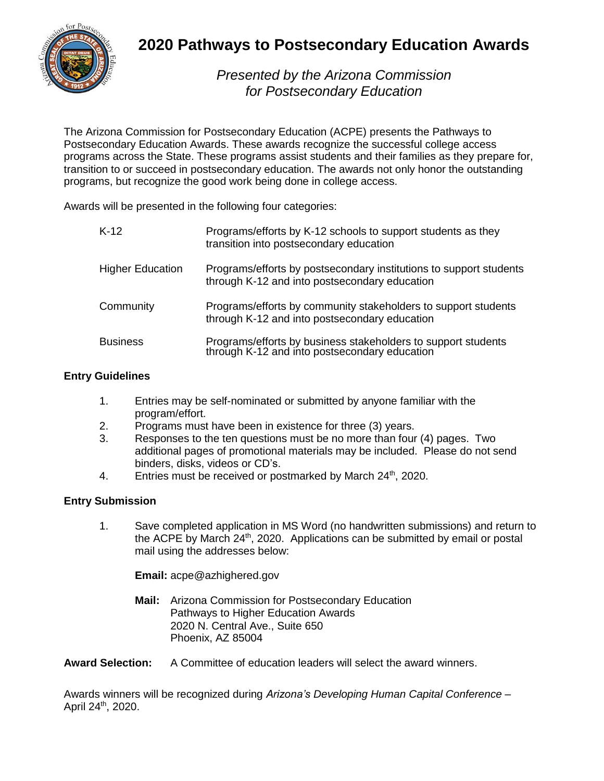

### **2020 Pathways to Postsecondary Education Awards**

*Presented by the Arizona Commission for Postsecondary Education*

The Arizona Commission for Postsecondary Education (ACPE) presents the Pathways to Postsecondary Education Awards. These awards recognize the successful college access programs across the State. These programs assist students and their families as they prepare for, transition to or succeed in postsecondary education. The awards not only honor the outstanding programs, but recognize the good work being done in college access.

Awards will be presented in the following four categories:

| $K-12$                  | Programs/efforts by K-12 schools to support students as they<br>transition into postsecondary education             |
|-------------------------|---------------------------------------------------------------------------------------------------------------------|
| <b>Higher Education</b> | Programs/efforts by postsecondary institutions to support students<br>through K-12 and into postsecondary education |
| Community               | Programs/efforts by community stakeholders to support students<br>through K-12 and into postsecondary education     |
| <b>Business</b>         | Programs/efforts by business stakeholders to support students through K-12 and into postsecondary education         |

### **Entry Guidelines**

- 1. Entries may be self-nominated or submitted by anyone familiar with the program/effort.
- 2. Programs must have been in existence for three (3) years.
- 3. Responses to the ten questions must be no more than four (4) pages. Two additional pages of promotional materials may be included. Please do not send binders, disks, videos or CD's.
- 4. Entries must be received or postmarked by March 24<sup>th</sup>, 2020.

#### **Entry Submission**

1. Save completed application in MS Word (no handwritten submissions) and return to the ACPE by March 24<sup>th</sup>, 2020. Applications can be submitted by email or postal mail using the addresses below:

**Email:** acpe@azhighered.gov

**Mail:** Arizona Commission for Postsecondary Education Pathways to Higher Education Awards 2020 N. Central Ave., Suite 650 Phoenix, AZ 85004

**Award Selection:** A Committee of education leaders will select the award winners.

Awards winners will be recognized during *Arizona's Developing Human Capital Conference* – April 24<sup>th</sup>, 2020.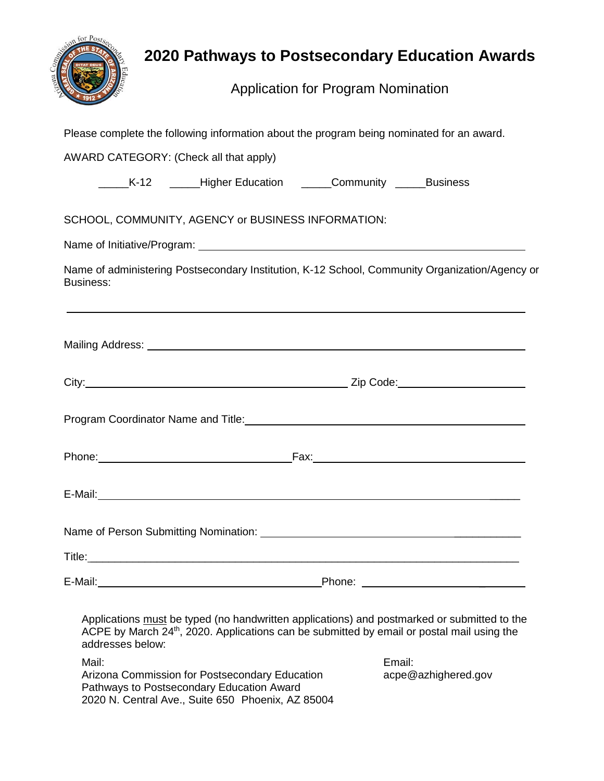

# **2020 Pathways to Postsecondary Education Awards**

Application for Program Nomination

| Please complete the following information about the program being nominated for an award.                                                                                                                                 |                                                              |  |                               |  |  |
|---------------------------------------------------------------------------------------------------------------------------------------------------------------------------------------------------------------------------|--------------------------------------------------------------|--|-------------------------------|--|--|
| AWARD CATEGORY: (Check all that apply)                                                                                                                                                                                    |                                                              |  |                               |  |  |
|                                                                                                                                                                                                                           | _____K-12 _____Higher Education _____Community _____Business |  |                               |  |  |
|                                                                                                                                                                                                                           |                                                              |  |                               |  |  |
| SCHOOL, COMMUNITY, AGENCY or BUSINESS INFORMATION:                                                                                                                                                                        |                                                              |  |                               |  |  |
|                                                                                                                                                                                                                           |                                                              |  |                               |  |  |
| Name of administering Postsecondary Institution, K-12 School, Community Organization/Agency or<br><b>Business:</b>                                                                                                        |                                                              |  |                               |  |  |
|                                                                                                                                                                                                                           |                                                              |  |                               |  |  |
|                                                                                                                                                                                                                           |                                                              |  |                               |  |  |
|                                                                                                                                                                                                                           |                                                              |  |                               |  |  |
|                                                                                                                                                                                                                           |                                                              |  |                               |  |  |
|                                                                                                                                                                                                                           |                                                              |  |                               |  |  |
|                                                                                                                                                                                                                           |                                                              |  |                               |  |  |
| Title:                                                                                                                                                                                                                    |                                                              |  |                               |  |  |
|                                                                                                                                                                                                                           |                                                              |  |                               |  |  |
| Applications must be typed (no handwritten applications) and postmarked or submitted to the<br>ACPE by March 24 <sup>th</sup> , 2020. Applications can be submitted by email or postal mail using the<br>addresses below: |                                                              |  |                               |  |  |
| Mail:<br>Arizona Commission for Postsecondary Education<br>Pathways to Postsecondary Education Award                                                                                                                      |                                                              |  | Email:<br>acpe@azhighered.gov |  |  |

2020 N. Central Ave., Suite 650 Phoenix, AZ 85004